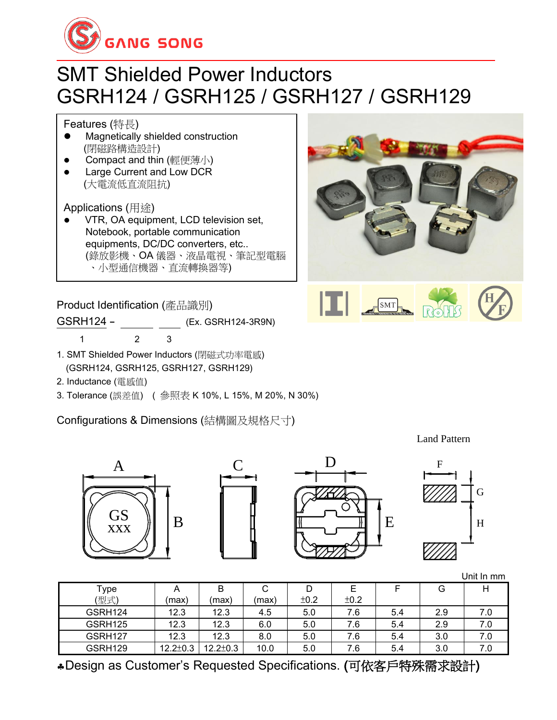

# SMT Shielded Power Inductors GSRH124 / GSRH125 / GSRH127 / GSRH129

Features (特長)

- ⚫ Magnetically shielded construction (閉磁路構造設計)
- ⚫ Compact and thin (輕便薄小)
- ⚫ Large Current and Low DCR (大電流低直流阻抗)

Applications (用途)

⚫ VTR, OA equipment, LCD television set, Notebook, portable communication equipments, DC/DC converters, etc.. (錄放影機、OA 儀器、液晶電視、筆記型電腦 、小型通信機器、直流轉換器等)

Product Identification (產品識別)

GSRH124 - (Ex. GSRH124-3R9N) 1 2 3

- 1. SMT Shielded Power Inductors (閉磁式功率電感) (GSRH124, GSRH125, GSRH127, GSRH129)
- 2. Inductance (電感值)
- 3. Tolerance (誤差值) ( 參照表 K 10%, L 15%, M 20%, N 30%)

Configurations & Dimensions (結構圖及規格尺寸)

Land Pattern

 $SMT$ 



|         |                |                |       |      |      |     |     | Unit In mm |
|---------|----------------|----------------|-------|------|------|-----|-----|------------|
| Type    |                | B              | С     |      |      |     | G   |            |
| (型式)    | (max)          | (max)          | (max) | ±0.2 | ±0.2 |     |     |            |
| GSRH124 | 12.3           | 12.3           | 4.5   | 5.0  | 7.6  | 5.4 | 2.9 | 7.0        |
| GSRH125 | 12.3           | 12.3           | 6.0   | 5.0  | 7.6  | 5.4 | 2.9 | 7.0        |
| GSRH127 | 12.3           | 12.3           | 8.0   | 5.0  | 7.6  | 5.4 | 3.0 | 7.0        |
| GSRH129 | $12.2 \pm 0.3$ | $12.2 \pm 0.3$ | 10.0  | 5.0  | 7.6  | 5.4 | 3.0 | 7.0        |

Design as Customer's Requested Specifications. (可依客戶特殊需求設計)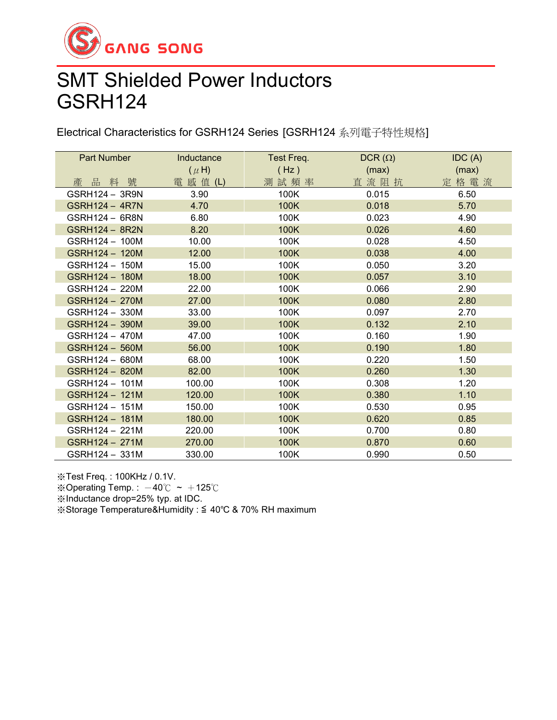

## SMT Shielded Power Inductors GSRH124

Electrical Characteristics for GSRH124 Series [GSRH124 系列電子特性規格]

| Part Number           | Inductance | $DCR(\Omega)$<br>Test Freq. |       | IDC(A) |  |
|-----------------------|------------|-----------------------------|-------|--------|--|
|                       | $(\mu H)$  | (Hz)                        | (max) | (max)  |  |
| 產品料號                  | 電 感 值 (L)  | 測試頻率                        | 直流阻抗  | 定格電流   |  |
| GSRH124 - 3R9N        | 3.90       | 100K                        | 0.015 | 6.50   |  |
| <b>GSRH124 - 4R7N</b> | 4.70       | 100K                        | 0.018 | 5.70   |  |
| GSRH124 - 6R8N        | 6.80       | 100K                        | 0.023 | 4.90   |  |
| <b>GSRH124 - 8R2N</b> | 8.20       | 100K                        | 0.026 | 4.60   |  |
| GSRH124 - 100M        | 10.00      | 100K                        | 0.028 | 4.50   |  |
| GSRH124 - 120M        | 12.00      | 100K                        | 0.038 | 4.00   |  |
| GSRH124 - 150M        | 15.00      | 100K                        | 0.050 | 3.20   |  |
| GSRH124 - 180M        | 18.00      | 100K                        | 0.057 | 3.10   |  |
| GSRH124 - 220M        | 22.00      | 100K                        | 0.066 | 2.90   |  |
| GSRH124 - 270M        | 27.00      | 100K                        | 0.080 | 2.80   |  |
| GSRH124 - 330M        | 33.00      | 100K                        | 0.097 | 2.70   |  |
| GSRH124 - 390M        | 39.00      | 100K                        | 0.132 | 2.10   |  |
| GSRH124 - 470M        | 47.00      | 100K                        | 0.160 | 1.90   |  |
| GSRH124 - 560M        | 56.00      | 100K                        | 0.190 | 1.80   |  |
| GSRH124 - 680M        | 68.00      | 100K                        | 0.220 | 1.50   |  |
| GSRH124 - 820M        | 82.00      | 100K                        | 0.260 | 1.30   |  |
| GSRH124 - 101M        | 100.00     | 100K                        | 0.308 | 1.20   |  |
| GSRH124 - 121M        | 120.00     | 100K                        | 0.380 | 1.10   |  |
| GSRH124 - 151M        | 150.00     | 100K                        | 0.530 | 0.95   |  |
| GSRH124 - 181M        | 180.00     | 100K                        | 0.620 | 0.85   |  |
| GSRH124 - 221M        | 220.00     | 100K                        | 0.700 | 0.80   |  |
| GSRH124 - 271M        | 270.00     | 100K                        | 0.870 | 0.60   |  |
| GSRH124 - 331M        | 330.00     | 100K                        | 0.990 | 0.50   |  |

※Test Freq. : 100KHz / 0.1V.

※Operating Temp.:  $-40^{\circ}$ C ~  $+125^{\circ}$ C

※Inductance drop=25% typ. at IDC.

※Storage Temperature&Humidity : ≦ 40℃ & 70% RH maximum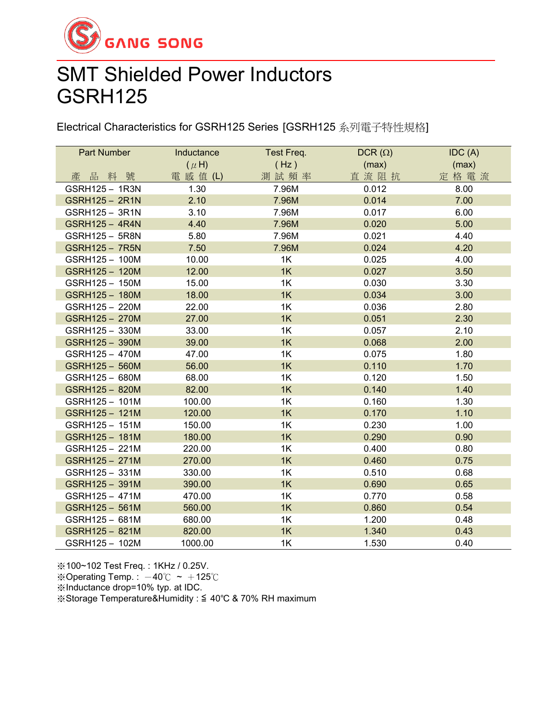

### SMT Shielded Power Inductors GSRH125

Electrical Characteristics for GSRH125 Series [GSRH125 系列電子特性規格]

| Part Number           | Inductance | Test Freq. | DCR $(\Omega)$ | IDC(A) |
|-----------------------|------------|------------|----------------|--------|
|                       | $(\mu H)$  | (Hz)       | (max)          | (max)  |
| 產品料號                  | 電 感 值 (L)  | 測試頻率       | 直流阻抗           | 定格電流   |
| GSRH125 - 1R3N        | 1.30       | 7.96M      | 0.012          | 8.00   |
| GSRH125 - 2R1N        | 2.10       | 7.96M      | 0.014          | 7.00   |
| GSRH125 - 3R1N        | 3.10       | 7.96M      | 0.017          | 6.00   |
| <b>GSRH125 - 4R4N</b> | 4.40       | 7.96M      | 0.020          | 5.00   |
| GSRH125 - 5R8N        | 5.80       | 7.96M      | 0.021          | 4.40   |
| <b>GSRH125 - 7R5N</b> | 7.50       | 7.96M      | 0.024          | 4.20   |
| GSRH125 - 100M        | 10.00      | 1K         | 0.025          | 4.00   |
| GSRH125 - 120M        | 12.00      | 1K         | 0.027          | 3.50   |
| GSRH125 - 150M        | 15.00      | 1K         | 0.030          | 3.30   |
| GSRH125 - 180M        | 18.00      | 1K         | 0.034          | 3.00   |
| GSRH125 - 220M        | 22.00      | 1K         | 0.036          | 2.80   |
| GSRH125 - 270M        | 27.00      | 1K         | 0.051          | 2.30   |
| GSRH125 - 330M        | 33.00      | 1K         | 0.057          | 2.10   |
| GSRH125 - 390M        | 39.00      | 1K         | 0.068          | 2.00   |
| GSRH125 - 470M        | 47.00      | 1K         | 0.075          | 1.80   |
| GSRH125 - 560M        | 56.00      | 1K         | 0.110          | 1.70   |
| GSRH125 - 680M        | 68.00      | 1K         | 0.120          | 1.50   |
| GSRH125 - 820M        | 82.00      | 1K         | 0.140          | 1.40   |
| GSRH125 - 101M        | 100.00     | 1K         | 0.160          | 1.30   |
| GSRH125-121M          | 120.00     | 1K         | 0.170          | 1.10   |
| GSRH125 - 151M        | 150.00     | 1K         | 0.230          | 1.00   |
| GSRH125 - 181M        | 180.00     | 1K         | 0.290          | 0.90   |
| GSRH125 - 221M        | 220.00     | 1K         | 0.400          | 0.80   |
| GSRH125 - 271M        | 270.00     | 1K         | 0.460          | 0.75   |
| GSRH125 - 331M        | 330.00     | 1K         | 0.510          | 0.68   |
| GSRH125 - 391M        | 390.00     | 1K         | 0.690          | 0.65   |
| GSRH125 - 471M        | 470.00     | 1K         | 0.770          | 0.58   |
| GSRH125 - 561M        | 560.00     | 1K         | 0.860          | 0.54   |
| GSRH125 - 681M        | 680.00     | 1K         | 1.200          | 0.48   |
| GSRH125 - 821M        | 820.00     | 1K         | 1.340          | 0.43   |
| GSRH125 - 102M        | 1000.00    | 1K         | 1.530          | 0.40   |

※100~102 Test Freq. : 1KHz / 0.25V. ※Operating Temp.:  $-40^{\circ}$ C ~  $+125^{\circ}$ C ※Inductance drop=10% typ. at IDC. ※Storage Temperature&Humidity : ≦ 40℃ & 70% RH maximum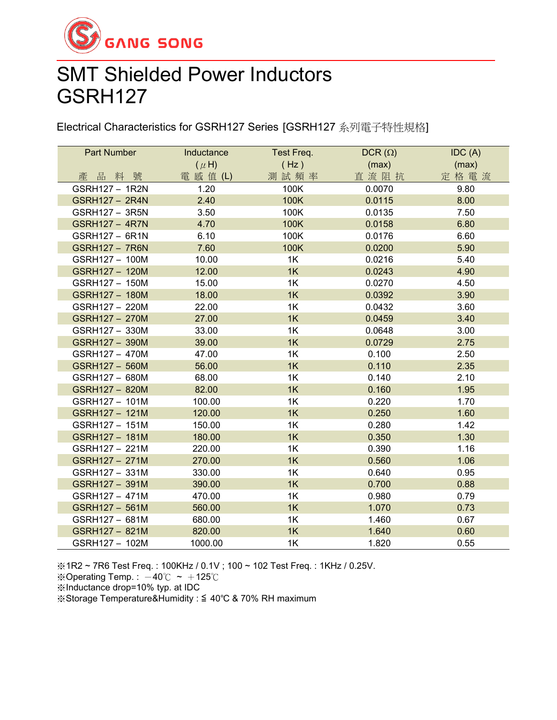

### SMT Shielded Power Inductors GSRH127

Electrical Characteristics for GSRH127 Series [GSRH127 系列電子特性規格]

| <b>Part Number</b>    | Inductance | Test Freq. | $DCR(\Omega)$ | IDC(A) |
|-----------------------|------------|------------|---------------|--------|
|                       | $(\mu H)$  | (Hz)       | (max)         | (max)  |
| 品料<br>號<br>產          | 電 感 值 (L)  | 測試頻率       | 直流阻抗          | 定格電流   |
| GSRH127 - 1R2N        | 1.20       | 100K       | 0.0070        | 9.80   |
| GSRH127 - 2R4N        | 2.40       | 100K       | 0.0115        | 8.00   |
| GSRH127 - 3R5N        | 3.50       | 100K       | 0.0135        | 7.50   |
| <b>GSRH127 - 4R7N</b> | 4.70       | 100K       | 0.0158        | 6.80   |
| GSRH127 - 6R1N        | 6.10       | 100K       | 0.0176        | 6.60   |
| <b>GSRH127 - 7R6N</b> | 7.60       | 100K       | 0.0200        | 5.90   |
| GSRH127 - 100M        | 10.00      | 1K         | 0.0216        | 5.40   |
| GSRH127 - 120M        | 12.00      | 1K         | 0.0243        | 4.90   |
| GSRH127 - 150M        | 15.00      | 1K         | 0.0270        | 4.50   |
| GSRH127 - 180M        | 18.00      | 1K         | 0.0392        | 3.90   |
| GSRH127 - 220M        | 22.00      | 1K         | 0.0432        | 3.60   |
| GSRH127 - 270M        | 27.00      | 1K         | 0.0459        | 3.40   |
| GSRH127 - 330M        | 33.00      | 1K         | 0.0648        | 3.00   |
| GSRH127 - 390M        | 39.00      | 1K         | 0.0729        | 2.75   |
| GSRH127 - 470M        | 47.00      | 1K         | 0.100         | 2.50   |
| GSRH127 - 560M        | 56.00      | 1K         | 0.110         | 2.35   |
| GSRH127 - 680M        | 68.00      | 1K         | 0.140         | 2.10   |
| GSRH127 - 820M        | 82.00      | 1K         | 0.160         | 1.95   |
| GSRH127 - 101M        | 100.00     | 1K         | 0.220         | 1.70   |
| GSRH127 - 121M        | 120.00     | 1K         | 0.250         | 1.60   |
| GSRH127 - 151M        | 150.00     | 1K         | 0.280         | 1.42   |
| GSRH127 - 181M        | 180.00     | 1K         | 0.350         | 1.30   |
| GSRH127 - 221M        | 220.00     | 1K         | 0.390         | 1.16   |
| GSRH127 - 271M        | 270.00     | 1K         | 0.560         | 1.06   |
| GSRH127 - 331M        | 330.00     | 1K         | 0.640         | 0.95   |
| GSRH127 - 391M        | 390.00     | 1K         | 0.700         | 0.88   |
| GSRH127 - 471M        | 470.00     | 1K         | 0.980         | 0.79   |
| GSRH127 - 561M        | 560.00     | 1K         | 1.070         | 0.73   |
| GSRH127 - 681M        | 680.00     | 1K         | 1.460         | 0.67   |
| GSRH127 - 821M        | 820.00     | 1K         | 1.640         | 0.60   |
| GSRH127 - 102M        | 1000.00    | 1K         | 1.820         | 0.55   |

※1R2 ~ 7R6 Test Freq. : 100KHz / 0.1V ; 100 ~ 102 Test Freq. : 1KHz / 0.25V.

※Operating Temp. :  $-40^{\circ}$ C ~  $+125^{\circ}$ C

※Inductance drop=10% typ. at IDC

※Storage Temperature&Humidity : ≦ 40℃ & 70% RH maximum